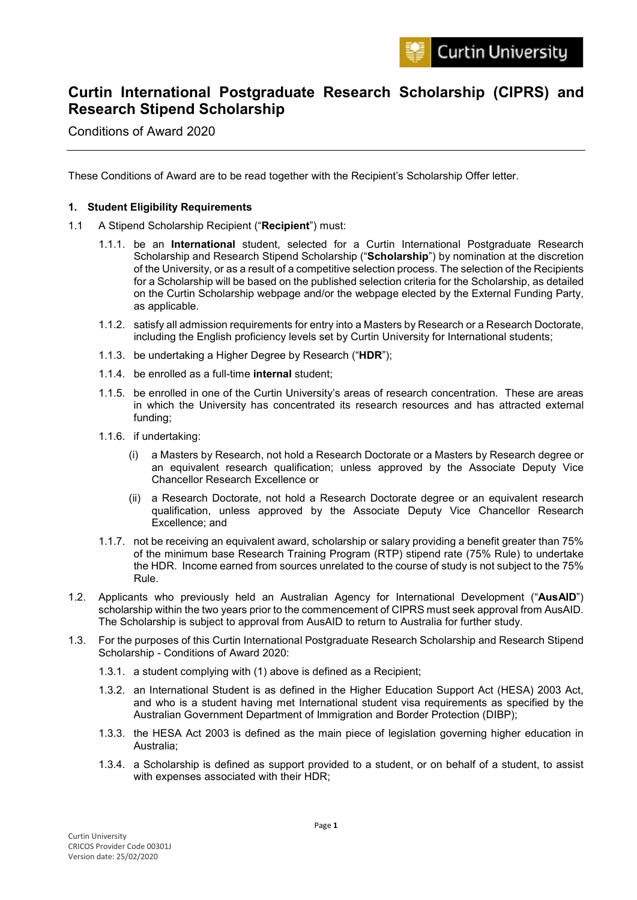# **Curtin International Postgraduate Research Scholarship (CIPRS) and Research Stipend Scholarship**

Conditions of Award 2020

These Conditions of Award are to be read together with the Recipient's Scholarship Offer letter.

## **1. Student Eligibility Requirements**

- 1.1 A Stipend Scholarship Recipient ("**Recipient**") must:
	- 1.1.1. be an **International** student, selected for a Curtin International Postgraduate Research Scholarship and Research Stipend Scholarship ("**Scholarship**") by nomination at the discretion of the University, or as a result of a competitive selection process. The selection of the Recipients for a Scholarship will be based on the published selection criteria for the Scholarship, as detailed on the Curtin Scholarship webpage and/or the webpage elected by the External Funding Party, as applicable.
	- 1.1.2. satisfy all admission requirements for entry into a Masters by Research or a Research Doctorate, including the English proficiency levels set by Curtin University for International students;
	- 1.1.3. be undertaking a Higher Degree by Research ("**HDR**");
	- 1.1.4. be enrolled as a full-time **internal** student;
	- 1.1.5. be enrolled in one of the Curtin University's areas of research concentration. These are areas in which the University has concentrated its research resources and has attracted external funding;
	- 1.1.6. if undertaking:
		- (i) a Masters by Research, not hold a Research Doctorate or a Masters by Research degree or an equivalent research qualification; unless approved by the Associate Deputy Vice Chancellor Research Excellence or
		- (ii) a Research Doctorate, not hold a Research Doctorate degree or an equivalent research qualification, unless approved by the Associate Deputy Vice Chancellor Research Excellence; and
	- 1.1.7. not be receiving an equivalent award, scholarship or salary providing a benefit greater than 75% of the minimum base Research Training Program (RTP) stipend rate (75% Rule) to undertake the HDR. Income earned from sources unrelated to the course of study is not subject to the 75% Rule.
- 1.2. Applicants who previously held an Australian Agency for International Development ("**AusAID**") scholarship within the two years prior to the commencement of CIPRS must seek approval from AusAID. The Scholarship is subject to approval from AusAID to return to Australia for further study.
- 1.3. For the purposes of this Curtin International Postgraduate Research Scholarship and Research Stipend Scholarship - Conditions of Award 2020:
	- 1.3.1. a student complying with (1) above is defined as a Recipient;
	- 1.3.2. an International Student is as defined in the Higher Education Support Act (HESA) 2003 Act, and who is a student having met International student visa requirements as specified by the Australian Government Department of Immigration and Border Protection (DIBP);
	- 1.3.3. the HESA Act 2003 is defined as the main piece of legislation governing higher education in Australia;
	- 1.3.4. a Scholarship is defined as support provided to a student, or on behalf of a student, to assist with expenses associated with their HDR;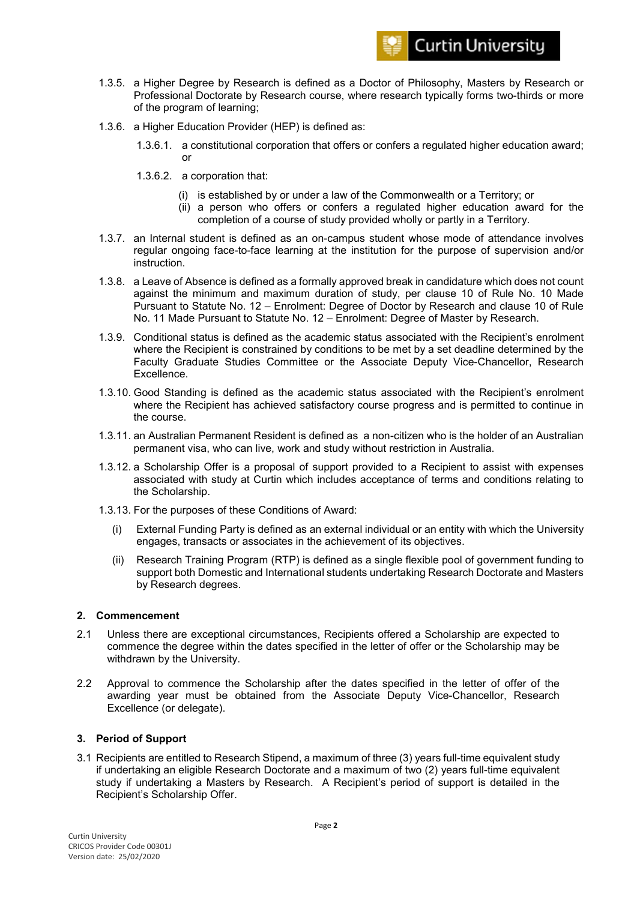

- 1.3.5. a Higher Degree by Research is defined as a Doctor of Philosophy, Masters by Research or Professional Doctorate by Research course, where research typically forms two-thirds or more of the program of learning;
- 1.3.6. a Higher Education Provider (HEP) is defined as:
	- 1.3.6.1. a constitutional corporation that offers or confers a regulated higher education award; or
	- 1.3.6.2. a corporation that:
		- (i) is established by or under a law of the Commonwealth or a Territory; or
		- (ii) a person who offers or confers a regulated higher education award for the completion of a course of study provided wholly or partly in a Territory.
- 1.3.7. an Internal student is defined as an on-campus student whose mode of attendance involves regular ongoing face-to-face learning at the institution for the purpose of supervision and/or instruction.
- 1.3.8. a Leave of Absence is defined as a formally approved break in candidature which does not count against the minimum and maximum duration of study, per clause 10 of Rule No. 10 Made Pursuant to Statute No. 12 – Enrolment: Degree of Doctor by Research and clause 10 of Rule No. 11 Made Pursuant to Statute No. 12 – Enrolment: Degree of Master by Research.
- 1.3.9. Conditional status is defined as the academic status associated with the Recipient's enrolment where the Recipient is constrained by conditions to be met by a set deadline determined by the Faculty Graduate Studies Committee or the Associate Deputy Vice-Chancellor, Research Excellence.
- 1.3.10. Good Standing is defined as the academic status associated with the Recipient's enrolment where the Recipient has achieved satisfactory course progress and is permitted to continue in the course.
- 1.3.11. an Australian Permanent Resident is defined as a non-citizen who is the holder of an Australian permanent visa, who can live, work and study without restriction in Australia.
- 1.3.12. a Scholarship Offer is a proposal of support provided to a Recipient to assist with expenses associated with study at Curtin which includes acceptance of terms and conditions relating to the Scholarship.
- 1.3.13. For the purposes of these Conditions of Award:
	- (i) External Funding Party is defined as an external individual or an entity with which the University engages, transacts or associates in the achievement of its objectives.
	- (ii) Research Training Program (RTP) is defined as a single flexible pool of government funding to support both Domestic and International students undertaking Research Doctorate and Masters by Research degrees.

## **2. Commencement**

- 2.1 Unless there are exceptional circumstances, Recipients offered a Scholarship are expected to commence the degree within the dates specified in the letter of offer or the Scholarship may be withdrawn by the University.
- 2.2 Approval to commence the Scholarship after the dates specified in the letter of offer of the awarding year must be obtained from the Associate Deputy Vice-Chancellor, Research Excellence (or delegate).

## **3. Period of Support**

3.1 Recipients are entitled to Research Stipend, a maximum of three (3) years full-time equivalent study if undertaking an eligible Research Doctorate and a maximum of two (2) years full-time equivalent study if undertaking a Masters by Research. A Recipient's period of support is detailed in the Recipient's Scholarship Offer.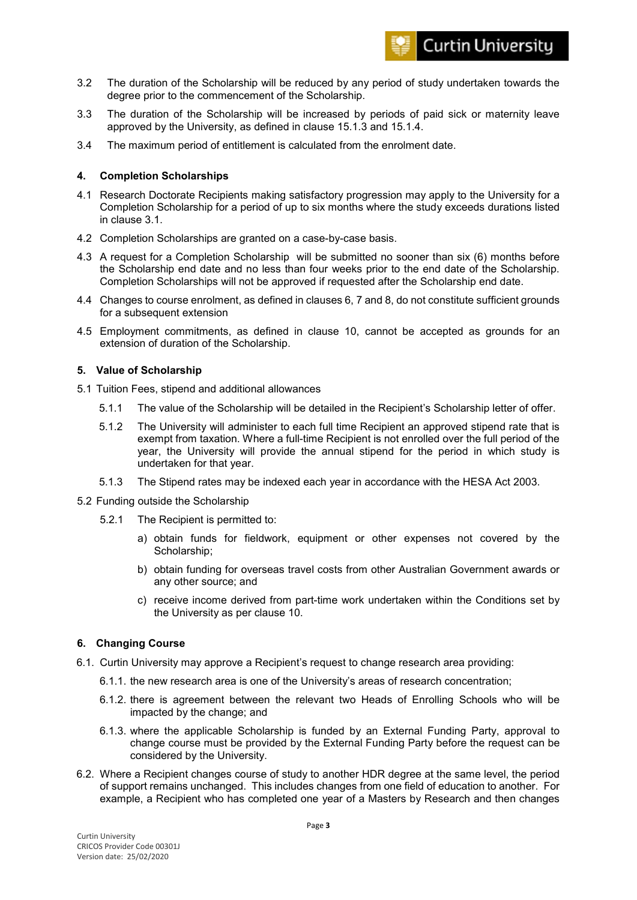- 3.2 The duration of the Scholarship will be reduced by any period of study undertaken towards the degree prior to the commencement of the Scholarship.
- 3.3 The duration of the Scholarship will be increased by periods of paid sick or maternity leave approved by the University, as defined in clause 15.1.3 and 15.1.4.
- 3.4 The maximum period of entitlement is calculated from the enrolment date.

## **4. Completion Scholarships**

- 4.1 Research Doctorate Recipients making satisfactory progression may apply to the University for a Completion Scholarship for a period of up to six months where the study exceeds durations listed in clause 3.1.
- 4.2 Completion Scholarships are granted on a case-by-case basis.
- 4.3 A request for a Completion Scholarship will be submitted no sooner than six (6) months before the Scholarship end date and no less than four weeks prior to the end date of the Scholarship. Completion Scholarships will not be approved if requested after the Scholarship end date.
- 4.4 Changes to course enrolment, as defined in clauses 6, 7 and 8, do not constitute sufficient grounds for a subsequent extension
- 4.5 Employment commitments, as defined in clause 10, cannot be accepted as grounds for an extension of duration of the Scholarship.

## **5. Value of Scholarship**

- 5.1 Tuition Fees, stipend and additional allowances
	- 5.1.1 The value of the Scholarship will be detailed in the Recipient's Scholarship letter of offer.
	- 5.1.2 The University will administer to each full time Recipient an approved stipend rate that is exempt from taxation. Where a full-time Recipient is not enrolled over the full period of the year, the University will provide the annual stipend for the period in which study is undertaken for that year.
	- 5.1.3 The Stipend rates may be indexed each year in accordance with the HESA Act 2003.
- 5.2 Funding outside the Scholarship
	- 5.2.1 The Recipient is permitted to:
		- a) obtain funds for fieldwork, equipment or other expenses not covered by the Scholarship;
		- b) obtain funding for overseas travel costs from other Australian Government awards or any other source; and
		- c) receive income derived from part-time work undertaken within the Conditions set by the University as per clause 10.

## **6. Changing Course**

- 6.1. Curtin University may approve a Recipient's request to change research area providing:
	- 6.1.1. the new research area is one of the University's areas of research concentration;
	- 6.1.2. there is agreement between the relevant two Heads of Enrolling Schools who will be impacted by the change; and
	- 6.1.3. where the applicable Scholarship is funded by an External Funding Party, approval to change course must be provided by the External Funding Party before the request can be considered by the University.
- 6.2. Where a Recipient changes course of study to another HDR degree at the same level, the period of support remains unchanged. This includes changes from one field of education to another. For example, a Recipient who has completed one year of a Masters by Research and then changes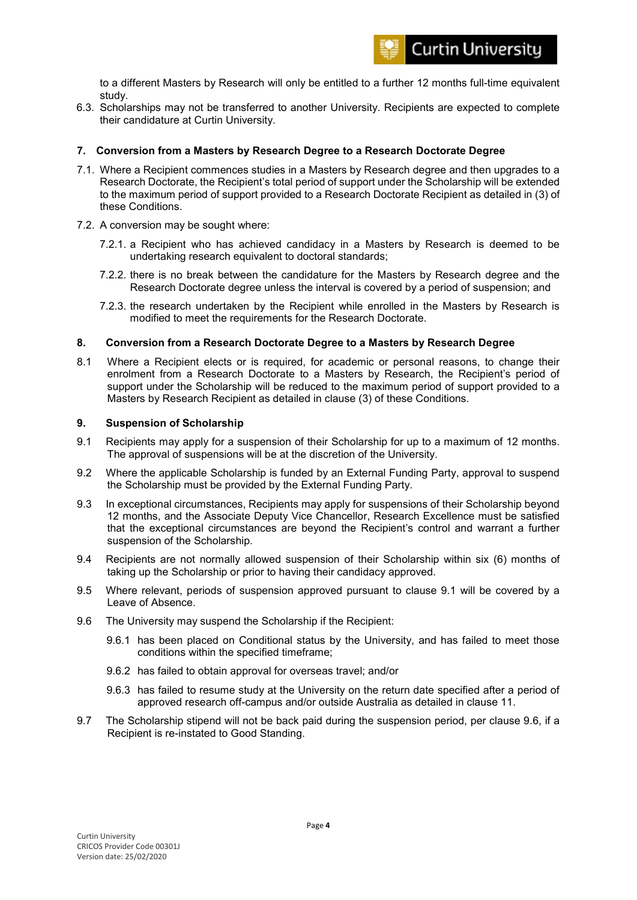to a different Masters by Research will only be entitled to a further 12 months full-time equivalent study.

6.3. Scholarships may not be transferred to another University. Recipients are expected to complete their candidature at Curtin University.

## **7. Conversion from a Masters by Research Degree to a Research Doctorate Degree**

- 7.1. Where a Recipient commences studies in a Masters by Research degree and then upgrades to a Research Doctorate, the Recipient's total period of support under the Scholarship will be extended to the maximum period of support provided to a Research Doctorate Recipient as detailed in (3) of these Conditions.
- 7.2. A conversion may be sought where:
	- 7.2.1. a Recipient who has achieved candidacy in a Masters by Research is deemed to be undertaking research equivalent to doctoral standards;
	- 7.2.2. there is no break between the candidature for the Masters by Research degree and the Research Doctorate degree unless the interval is covered by a period of suspension; and
	- 7.2.3. the research undertaken by the Recipient while enrolled in the Masters by Research is modified to meet the requirements for the Research Doctorate.

#### **8. Conversion from a Research Doctorate Degree to a Masters by Research Degree**

8.1 Where a Recipient elects or is required, for academic or personal reasons, to change their enrolment from a Research Doctorate to a Masters by Research, the Recipient's period of support under the Scholarship will be reduced to the maximum period of support provided to a Masters by Research Recipient as detailed in clause (3) of these Conditions.

#### **9. Suspension of Scholarship**

- 9.1 Recipients may apply for a suspension of their Scholarship for up to a maximum of 12 months. The approval of suspensions will be at the discretion of the University.
- 9.2 Where the applicable Scholarship is funded by an External Funding Party, approval to suspend the Scholarship must be provided by the External Funding Party.
- 9.3 In exceptional circumstances, Recipients may apply for suspensions of their Scholarship beyond 12 months, and the Associate Deputy Vice Chancellor, Research Excellence must be satisfied that the exceptional circumstances are beyond the Recipient's control and warrant a further suspension of the Scholarship.
- 9.4 Recipients are not normally allowed suspension of their Scholarship within six (6) months of taking up the Scholarship or prior to having their candidacy approved.
- 9.5 Where relevant, periods of suspension approved pursuant to clause 9.1 will be covered by a Leave of Absence.
- 9.6 The University may suspend the Scholarship if the Recipient:
	- 9.6.1 has been placed on Conditional status by the University, and has failed to meet those conditions within the specified timeframe;
	- 9.6.2 has failed to obtain approval for overseas travel; and/or
	- 9.6.3 has failed to resume study at the University on the return date specified after a period of approved research off-campus and/or outside Australia as detailed in clause 11.
- 9.7 The Scholarship stipend will not be back paid during the suspension period, per clause 9.6, if a Recipient is re-instated to Good Standing.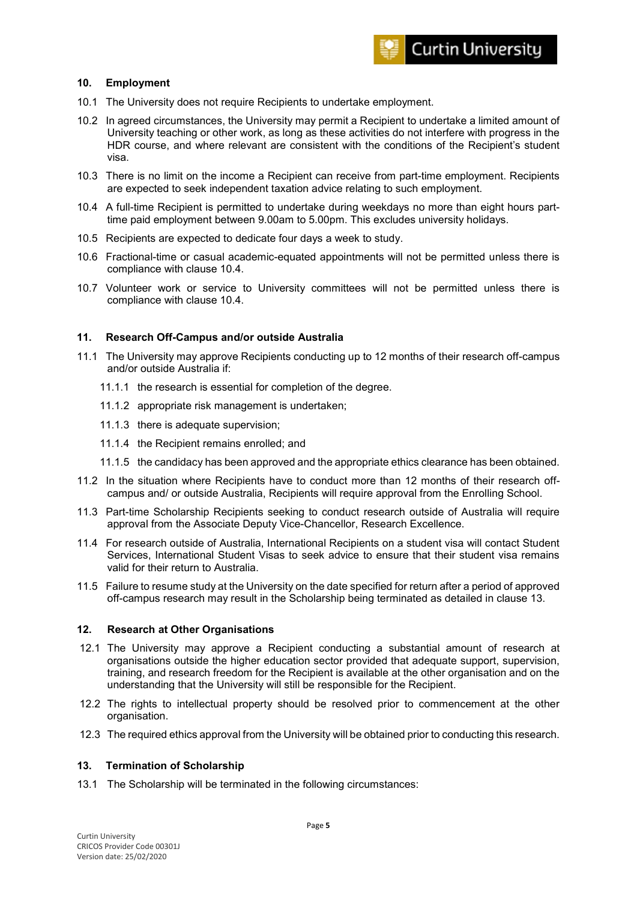## **10. Employment**

- 10.1 The University does not require Recipients to undertake employment.
- 10.2 In agreed circumstances, the University may permit a Recipient to undertake a limited amount of University teaching or other work, as long as these activities do not interfere with progress in the HDR course, and where relevant are consistent with the conditions of the Recipient's student visa.
- 10.3 There is no limit on the income a Recipient can receive from part-time employment. Recipients are expected to seek independent taxation advice relating to such employment.
- 10.4 A full-time Recipient is permitted to undertake during weekdays no more than eight hours parttime paid employment between 9.00am to 5.00pm. This excludes university holidays.
- 10.5 Recipients are expected to dedicate four days a week to study.
- 10.6 Fractional-time or casual academic-equated appointments will not be permitted unless there is compliance with clause 10.4.
- 10.7 Volunteer work or service to University committees will not be permitted unless there is compliance with clause 10.4.

## **11. Research Off-Campus and/or outside Australia**

- 11.1 The University may approve Recipients conducting up to 12 months of their research off-campus and/or outside Australia if:
	- 11.1.1 the research is essential for completion of the degree.
	- 11.1.2 appropriate risk management is undertaken;
	- 11.1.3 there is adequate supervision;
	- 11.1.4 the Recipient remains enrolled; and
	- 11.1.5 the candidacy has been approved and the appropriate ethics clearance has been obtained.
- 11.2 In the situation where Recipients have to conduct more than 12 months of their research offcampus and/ or outside Australia, Recipients will require approval from the Enrolling School.
- 11.3 Part-time Scholarship Recipients seeking to conduct research outside of Australia will require approval from the Associate Deputy Vice-Chancellor, Research Excellence.
- 11.4 For research outside of Australia, International Recipients on a student visa will contact Student Services, International Student Visas to seek advice to ensure that their student visa remains valid for their return to Australia.
- 11.5 Failure to resume study at the University on the date specified for return after a period of approved off-campus research may result in the Scholarship being terminated as detailed in clause 13.

#### **12. Research at Other Organisations**

- 12.1 The University may approve a Recipient conducting a substantial amount of research at organisations outside the higher education sector provided that adequate support, supervision, training, and research freedom for the Recipient is available at the other organisation and on the understanding that the University will still be responsible for the Recipient.
- 12.2 The rights to intellectual property should be resolved prior to commencement at the other organisation.
- 12.3 The required ethics approval from the University will be obtained prior to conducting this research.

#### **13. Termination of Scholarship**

13.1 The Scholarship will be terminated in the following circumstances: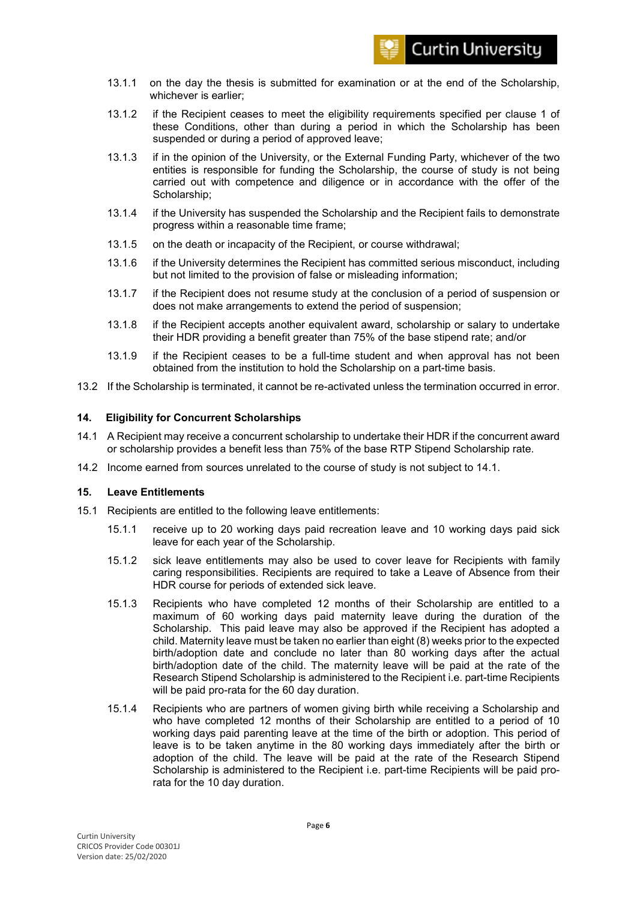

- 13.1.1 on the day the thesis is submitted for examination or at the end of the Scholarship, whichever is earlier;
- 13.1.2 if the Recipient ceases to meet the eligibility requirements specified per clause 1 of these Conditions, other than during a period in which the Scholarship has been suspended or during a period of approved leave;
- 13.1.3 if in the opinion of the University, or the External Funding Party, whichever of the two entities is responsible for funding the Scholarship, the course of study is not being carried out with competence and diligence or in accordance with the offer of the Scholarship;
- 13.1.4 if the University has suspended the Scholarship and the Recipient fails to demonstrate progress within a reasonable time frame;
- 13.1.5 on the death or incapacity of the Recipient, or course withdrawal;
- 13.1.6 if the University determines the Recipient has committed serious misconduct, including but not limited to the provision of false or misleading information;
- 13.1.7 if the Recipient does not resume study at the conclusion of a period of suspension or does not make arrangements to extend the period of suspension;
- 13.1.8 if the Recipient accepts another equivalent award, scholarship or salary to undertake their HDR providing a benefit greater than 75% of the base stipend rate; and/or
- 13.1.9 if the Recipient ceases to be a full-time student and when approval has not been obtained from the institution to hold the Scholarship on a part-time basis.
- 13.2 If the Scholarship is terminated, it cannot be re-activated unless the termination occurred in error.

## **14. Eligibility for Concurrent Scholarships**

- 14.1 A Recipient may receive a concurrent scholarship to undertake their HDR if the concurrent award or scholarship provides a benefit less than 75% of the base RTP Stipend Scholarship rate.
- 14.2 Income earned from sources unrelated to the course of study is not subject to 14.1.

#### **15. Leave Entitlements**

- 15.1 Recipients are entitled to the following leave entitlements:
	- 15.1.1 receive up to 20 working days paid recreation leave and 10 working days paid sick leave for each year of the Scholarship.
	- 15.1.2 sick leave entitlements may also be used to cover leave for Recipients with family caring responsibilities. Recipients are required to take a Leave of Absence from their HDR course for periods of extended sick leave.
	- 15.1.3 Recipients who have completed 12 months of their Scholarship are entitled to a maximum of 60 working days paid maternity leave during the duration of the Scholarship. This paid leave may also be approved if the Recipient has adopted a child. Maternity leave must be taken no earlier than eight (8) weeks prior to the expected birth/adoption date and conclude no later than 80 working days after the actual birth/adoption date of the child. The maternity leave will be paid at the rate of the Research Stipend Scholarship is administered to the Recipient i.e. part-time Recipients will be paid pro-rata for the 60 day duration.
	- 15.1.4 Recipients who are partners of women giving birth while receiving a Scholarship and who have completed 12 months of their Scholarship are entitled to a period of 10 working days paid parenting leave at the time of the birth or adoption. This period of leave is to be taken anytime in the 80 working days immediately after the birth or adoption of the child. The leave will be paid at the rate of the Research Stipend Scholarship is administered to the Recipient i.e. part-time Recipients will be paid prorata for the 10 day duration.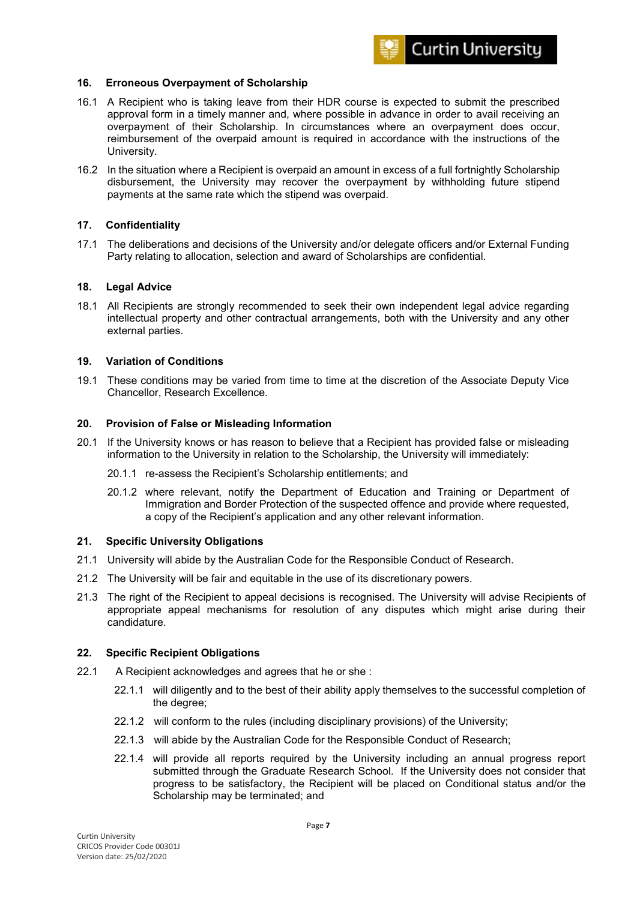

## **16. Erroneous Overpayment of Scholarship**

- 16.1 A Recipient who is taking leave from their HDR course is expected to submit the prescribed approval form in a timely manner and, where possible in advance in order to avail receiving an overpayment of their Scholarship. In circumstances where an overpayment does occur, reimbursement of the overpaid amount is required in accordance with the instructions of the University.
- 16.2 In the situation where a Recipient is overpaid an amount in excess of a full fortnightly Scholarship disbursement, the University may recover the overpayment by withholding future stipend payments at the same rate which the stipend was overpaid.

#### **17. Confidentiality**

17.1 The deliberations and decisions of the University and/or delegate officers and/or External Funding Party relating to allocation, selection and award of Scholarships are confidential.

## **18. Legal Advice**

18.1 All Recipients are strongly recommended to seek their own independent legal advice regarding intellectual property and other contractual arrangements, both with the University and any other external parties.

## **19. Variation of Conditions**

19.1 These conditions may be varied from time to time at the discretion of the Associate Deputy Vice Chancellor, Research Excellence.

#### **20. Provision of False or Misleading Information**

- 20.1 If the University knows or has reason to believe that a Recipient has provided false or misleading information to the University in relation to the Scholarship, the University will immediately:
	- 20.1.1 re-assess the Recipient's Scholarship entitlements; and
	- 20.1.2 where relevant, notify the Department of Education and Training or Department of Immigration and Border Protection of the suspected offence and provide where requested, a copy of the Recipient's application and any other relevant information.

#### **21. Specific University Obligations**

- 21.1 University will abide by the Australian Code for the Responsible Conduct of Research.
- 21.2 The University will be fair and equitable in the use of its discretionary powers.
- 21.3 The right of the Recipient to appeal decisions is recognised. The University will advise Recipients of appropriate appeal mechanisms for resolution of any disputes which might arise during their candidature.

#### **22. Specific Recipient Obligations**

- 22.1 A Recipient acknowledges and agrees that he or she :
	- 22.1.1 will diligently and to the best of their ability apply themselves to the successful completion of the degree;
	- 22.1.2 will conform to the rules (including disciplinary provisions) of the University;
	- 22.1.3 will abide by the Australian Code for the Responsible Conduct of Research;
	- 22.1.4 will provide all reports required by the University including an annual progress report submitted through the Graduate Research School. If the University does not consider that progress to be satisfactory, the Recipient will be placed on Conditional status and/or the Scholarship may be terminated; and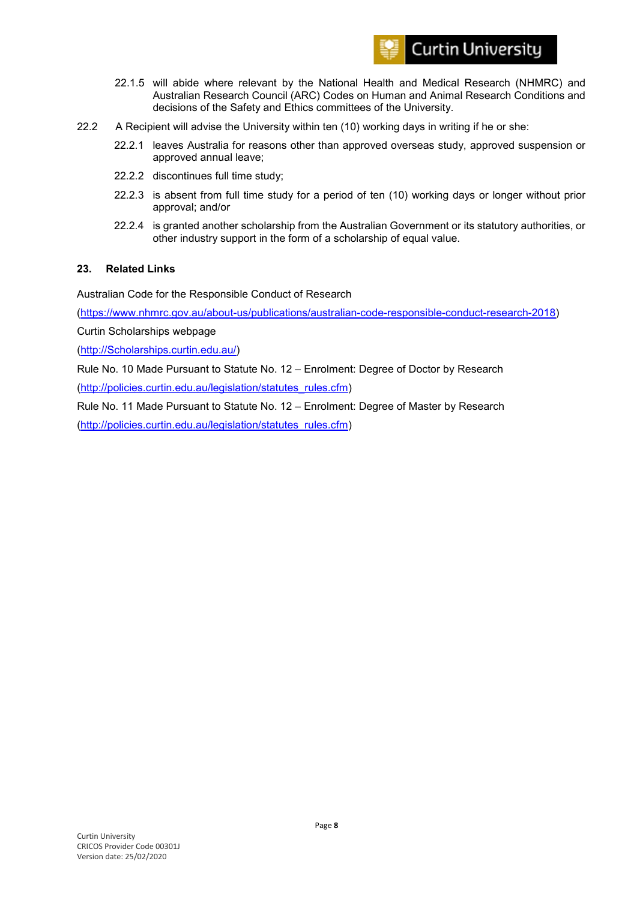

- 22.1.5 will abide where relevant by the National Health and Medical Research (NHMRC) and Australian Research Council (ARC) Codes on Human and Animal Research Conditions and decisions of the Safety and Ethics committees of the University.
- 22.2 A Recipient will advise the University within ten (10) working days in writing if he or she:
	- 22.2.1 leaves Australia for reasons other than approved overseas study, approved suspension or approved annual leave;
	- 22.2.2 discontinues full time study;
	- 22.2.3 is absent from full time study for a period of ten (10) working days or longer without prior approval; and/or
	- 22.2.4 is granted another scholarship from the Australian Government or its statutory authorities, or other industry support in the form of a scholarship of equal value.

## **23. Related Links**

Australian Code for the Responsible Conduct of Research

[\(https://www.nhmrc.gov.au/about-us/publications/australian-code-responsible-conduct-research-2018\)](https://www.nhmrc.gov.au/about-us/publications/australian-code-responsible-conduct-research-2018)

Curtin Scholarships webpage

[\(http://Scholarships.curtin.edu.au/\)](http://scholarships.curtin.edu.au/)

Rule No. 10 Made Pursuant to Statute No. 12 – Enrolment: Degree of Doctor by Research

[\(http://policies.curtin.edu.au/legislation/statutes\\_rules.cfm\)](http://policies.curtin.edu.au/legislation/statutes_rules.cfm)

Rule No. 11 Made Pursuant to Statute No. 12 – Enrolment: Degree of Master by Research

[\(http://policies.curtin.edu.au/legislation/statutes\\_rules.cfm\)](http://policies.curtin.edu.au/legislation/statutes_rules.cfm)